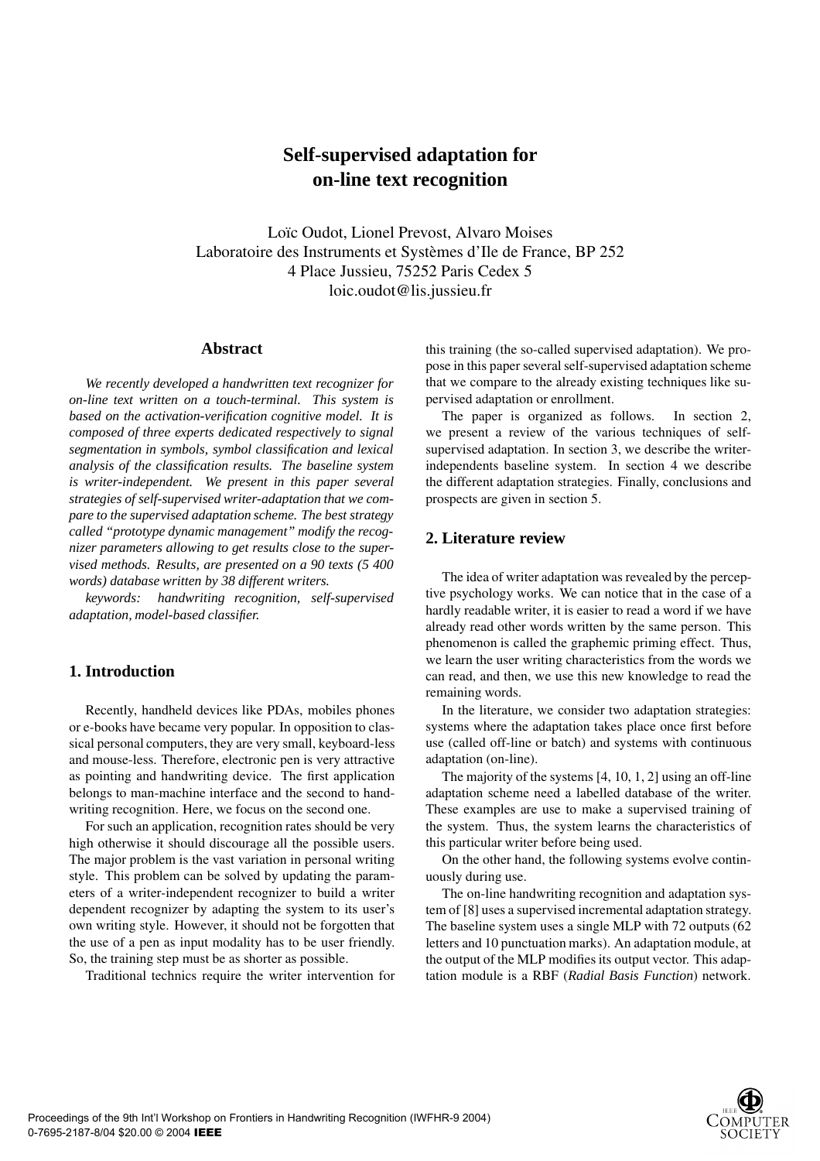# **Self-supervised adaptation for on-line text recognition**

Loïc Oudot, Lionel Prevost, Alvaro Moises Laboratoire des Instruments et Systèmes d'Ile de France, BP 252 4 Place Jussieu, 75252 Paris Cedex 5 loic.oudot@lis.jussieu.fr

#### **Abstract**

*We recently developed a handwritten text recognizer for on-line text written on a touch-terminal. This system is based on the activation-verification cognitive model. It is composed of three experts dedicated respectively to signal segmentation in symbols, symbol classification and lexical analysis of the classification results. The baseline system is writer-independent. We present in this paper several strategies of self-supervised writer-adaptation that we compare to the supervised adaptation scheme. The best strategy called "prototype dynamic management" modify the recognizer parameters allowing to get results close to the supervised methods. Results, are presented on a 90 texts (5 400 words) database written by 38 different writers.*

*keywords: handwriting recognition, self-supervised adaptation, model-based classifier.*

# **1. Introduction**

Recently, handheld devices like PDAs, mobiles phones or e-books have became very popular. In opposition to classical personal computers, they are very small, keyboard-less and mouse-less. Therefore, electronic pen is very attractive as pointing and handwriting device. The first application belongs to man-machine interface and the second to handwriting recognition. Here, we focus on the second one.

For such an application, recognition rates should be very high otherwise it should discourage all the possible users. The major problem is the vast variation in personal writing style. This problem can be solved by updating the parameters of a writer-independent recognizer to build a writer dependent recognizer by adapting the system to its user's own writing style. However, it should not be forgotten that the use of a pen as input modality has to be user friendly. So, the training step must be as shorter as possible.

Traditional technics require the writer intervention for

this training (the so-called supervised adaptation). We propose in this paper several self-supervised adaptation scheme that we compare to the already existing techniques like supervised adaptation or enrollment.

The paper is organized as follows. In section 2, we present a review of the various techniques of selfsupervised adaptation. In section 3, we describe the writerindependents baseline system. In section 4 we describe the different adaptation strategies. Finally, conclusions and prospects are given in section 5.

# **2. Literature review**

The idea of writer adaptation was revealed by the perceptive psychology works. We can notice that in the case of a hardly readable writer, it is easier to read a word if we have already read other words written by the same person. This phenomenon is called the graphemic priming effect. Thus, we learn the user writing characteristics from the words we can read, and then, we use this new knowledge to read the remaining words.

In the literature, we consider two adaptation strategies: systems where the adaptation takes place once first before use (called off-line or batch) and systems with continuous adaptation (on-line).

The majority of the systems [4, 10, 1, 2] using an off-line adaptation scheme need a labelled database of the writer. These examples are use to make a supervised training of the system. Thus, the system learns the characteristics of this particular writer before being used.

On the other hand, the following systems evolve continuously during use.

The on-line handwriting recognition and adaptation system of [8] uses a supervised incremental adaptation strategy. The baseline system uses a single MLP with 72 outputs (62 letters and 10 punctuation marks). An adaptation module, at the output of the MLP modifies its output vector. This adaptation module is a RBF (*Radial Basis Function*) network.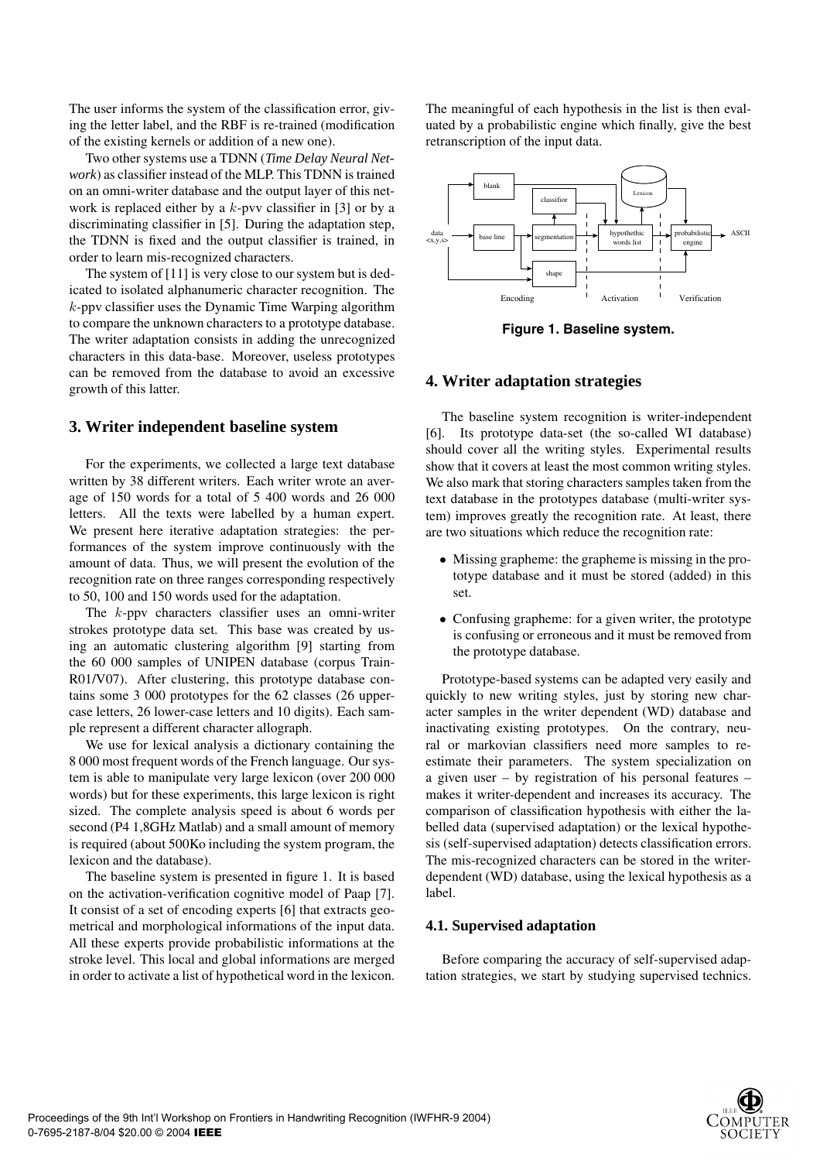The user informs the system of the classification error, giving the letter label, and the RBF is re-trained (modification of the existing kernels or addition of a new one).

Two other systems use a TDNN (*Time Delay Neural Network*) as classifier instead of the MLP. This TDNN is trained on an omni-writer database and the output layer of this network is replaced either by a *k*-pvv classifier in [3] or by a discriminating classifier in [5]. During the adaptation step, the TDNN is fixed and the output classifier is trained, in order to learn mis-recognized characters.

The system of [11] is very close to our system but is dedicated to isolated alphanumeric character recognition. The *k*-ppv classifier uses the Dynamic Time Warping algorithm to compare the unknown characters to a prototype database. The writer adaptation consists in adding the unrecognized characters in this data-base. Moreover, useless prototypes can be removed from the database to avoid an excessive growth of this latter.

# **3. Writer independent baseline system**

For the experiments, we collected a large text database written by 38 different writers. Each writer wrote an average of 150 words for a total of 5 400 words and 26 000 letters. All the texts were labelled by a human expert. We present here iterative adaptation strategies: the performances of the system improve continuously with the amount of data. Thus, we will present the evolution of the recognition rate on three ranges corresponding respectively to 50, 100 and 150 words used for the adaptation.

The *k*-ppv characters classifier uses an omni-writer strokes prototype data set. This base was created by using an automatic clustering algorithm [9] starting from the 60 000 samples of UNIPEN database (corpus Train-R01/V07). After clustering, this prototype database contains some 3 000 prototypes for the 62 classes (26 uppercase letters, 26 lower-case letters and 10 digits). Each sample represent a different character allograph.

We use for lexical analysis a dictionary containing the 8 000 most frequent words of the French language. Our system is able to manipulate very large lexicon (over 200 000 words) but for these experiments, this large lexicon is right sized. The complete analysis speed is about 6 words per second (P4 1,8GHz Matlab) and a small amount of memory is required (about 500Ko including the system program, the lexicon and the database).

The baseline system is presented in figure 1. It is based on the activation-verification cognitive model of Paap [7]. It consist of a set of encoding experts [6] that extracts geometrical and morphological informations of the input data. All these experts provide probabilistic informations at the stroke level. This local and global informations are merged in order to activate a list of hypothetical word in the lexicon. The meaningful of each hypothesis in the list is then evaluated by a probabilistic engine which finally, give the best retranscription of the input data.



**Figure 1. Baseline system.**

# **4. Writer adaptation strategies**

The baseline system recognition is writer-independent [6]. Its prototype data-set (the so-called WI database) should cover all the writing styles. Experimental results show that it covers at least the most common writing styles. We also mark that storing characters samples taken from the text database in the prototypes database (multi-writer system) improves greatly the recognition rate. At least, there are two situations which reduce the recognition rate:

- Missing grapheme: the grapheme is missing in the prototype database and it must be stored (added) in this set.
- Confusing grapheme: for a given writer, the prototype is confusing or erroneous and it must be removed from the prototype database.

Prototype-based systems can be adapted very easily and quickly to new writing styles, just by storing new character samples in the writer dependent (WD) database and inactivating existing prototypes. On the contrary, neural or markovian classifiers need more samples to reestimate their parameters. The system specialization on a given user – by registration of his personal features – makes it writer-dependent and increases its accuracy. The comparison of classification hypothesis with either the labelled data (supervised adaptation) or the lexical hypothesis (self-supervised adaptation) detects classification errors. The mis-recognized characters can be stored in the writerdependent (WD) database, using the lexical hypothesis as a label.

## **4.1. Supervised adaptation**

Before comparing the accuracy of self-supervised adaptation strategies, we start by studying supervised technics.

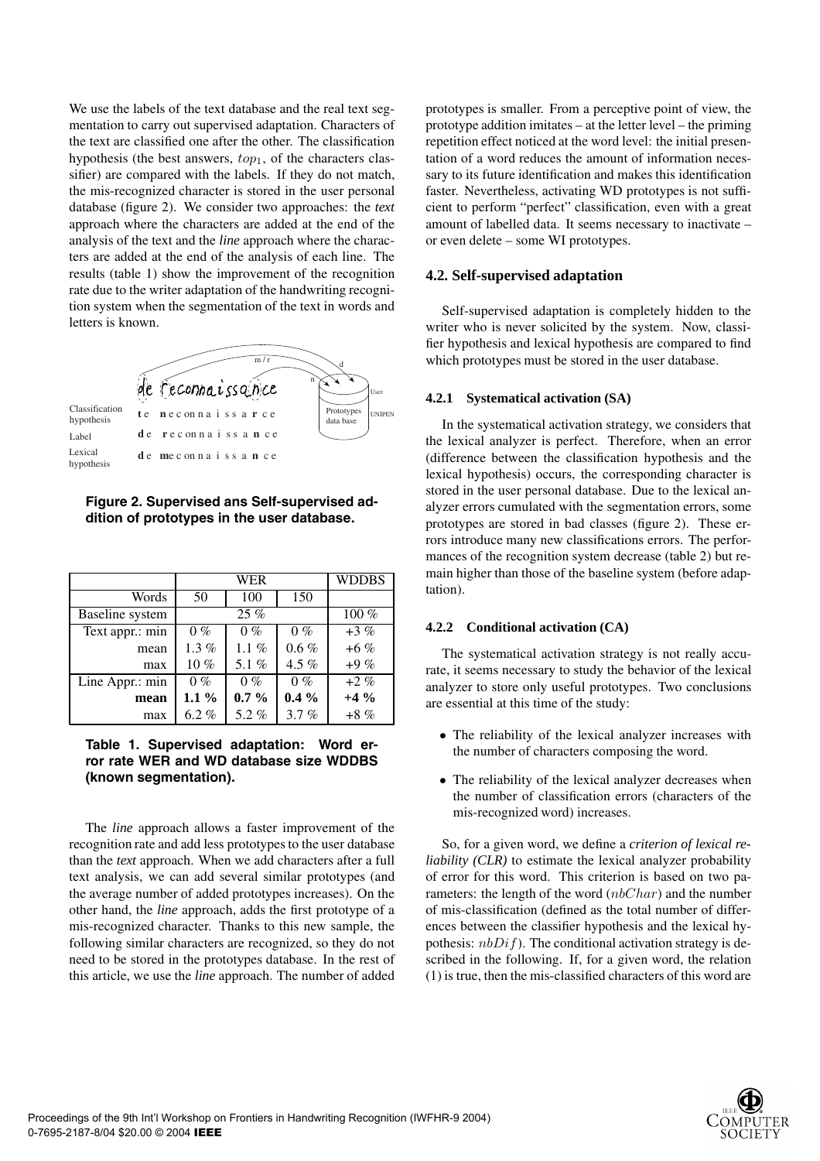We use the labels of the text database and the real text segmentation to carry out supervised adaptation. Characters of the text are classified one after the other. The classification hypothesis (the best answers, *top*1, of the characters classifier) are compared with the labels. If they do not match, the mis-recognized character is stored in the user personal database (figure 2). We consider two approaches: the *text* approach where the characters are added at the end of the analysis of the text and the *line* approach where the characters are added at the end of the analysis of each line. The results (table 1) show the improvement of the recognition rate due to the writer adaptation of the handwriting recognition system when the segmentation of the text in words and letters is known.



**Figure 2. Supervised ans Self-supervised addition of prototypes in the user database.**

|                 | WER     |         |         | <b>WDDBS</b> |
|-----------------|---------|---------|---------|--------------|
| Words           | 50      | 100     | 150     |              |
| Baseline system |         | 25%     |         | $100\%$      |
| Text appr.: min | $0\%$   | $0\%$   | $0\%$   | $+3\%$       |
| mean            | $1.3\%$ | $1.1\%$ | $0.6\%$ | $+6\%$       |
| max             | $10\%$  | 5.1 $%$ | 4.5 $%$ | $+9\%$       |
| Line Appr.: min | $0\%$   | $0\%$   | $0\%$   | $+2\%$       |
| mean            | $1.1\%$ | $0.7\%$ | $0.4\%$ | $+4\%$       |
| max             | $6.2\%$ | 5.2%    | 3.7%    | $+8\%$       |

**Table 1. Supervised adaptation: Word error rate WER and WD database size WDDBS (known segmentation).**

The *line* approach allows a faster improvement of the recognition rate and add less prototypes to the user database than the *text* approach. When we add characters after a full text analysis, we can add several similar prototypes (and the average number of added prototypes increases). On the other hand, the *line* approach, adds the first prototype of a mis-recognized character. Thanks to this new sample, the following similar characters are recognized, so they do not need to be stored in the prototypes database. In the rest of this article, we use the *line* approach. The number of added prototypes is smaller. From a perceptive point of view, the prototype addition imitates – at the letter level – the priming repetition effect noticed at the word level: the initial presentation of a word reduces the amount of information necessary to its future identification and makes this identification faster. Nevertheless, activating WD prototypes is not sufficient to perform "perfect" classification, even with a great amount of labelled data. It seems necessary to inactivate – or even delete – some WI prototypes.

#### **4.2. Self-supervised adaptation**

Self-supervised adaptation is completely hidden to the writer who is never solicited by the system. Now, classifier hypothesis and lexical hypothesis are compared to find which prototypes must be stored in the user database.

#### **4.2.1 Systematical activation (SA)**

In the systematical activation strategy, we considers that the lexical analyzer is perfect. Therefore, when an error (difference between the classification hypothesis and the lexical hypothesis) occurs, the corresponding character is stored in the user personal database. Due to the lexical analyzer errors cumulated with the segmentation errors, some prototypes are stored in bad classes (figure 2). These errors introduce many new classifications errors. The performances of the recognition system decrease (table 2) but remain higher than those of the baseline system (before adaptation).

#### **4.2.2 Conditional activation (CA)**

The systematical activation strategy is not really accurate, it seems necessary to study the behavior of the lexical analyzer to store only useful prototypes. Two conclusions are essential at this time of the study:

- The reliability of the lexical analyzer increases with the number of characters composing the word.
- The reliability of the lexical analyzer decreases when the number of classification errors (characters of the mis-recognized word) increases.

So, for a given word, we define a *criterion of lexical reliability (CLR)* to estimate the lexical analyzer probability of error for this word. This criterion is based on two parameters: the length of the word (*nbChar*) and the number of mis-classification (defined as the total number of differences between the classifier hypothesis and the lexical hypothesis: *nbDif*). The conditional activation strategy is described in the following. If, for a given word, the relation (1) is true, then the mis-classified characters of this word are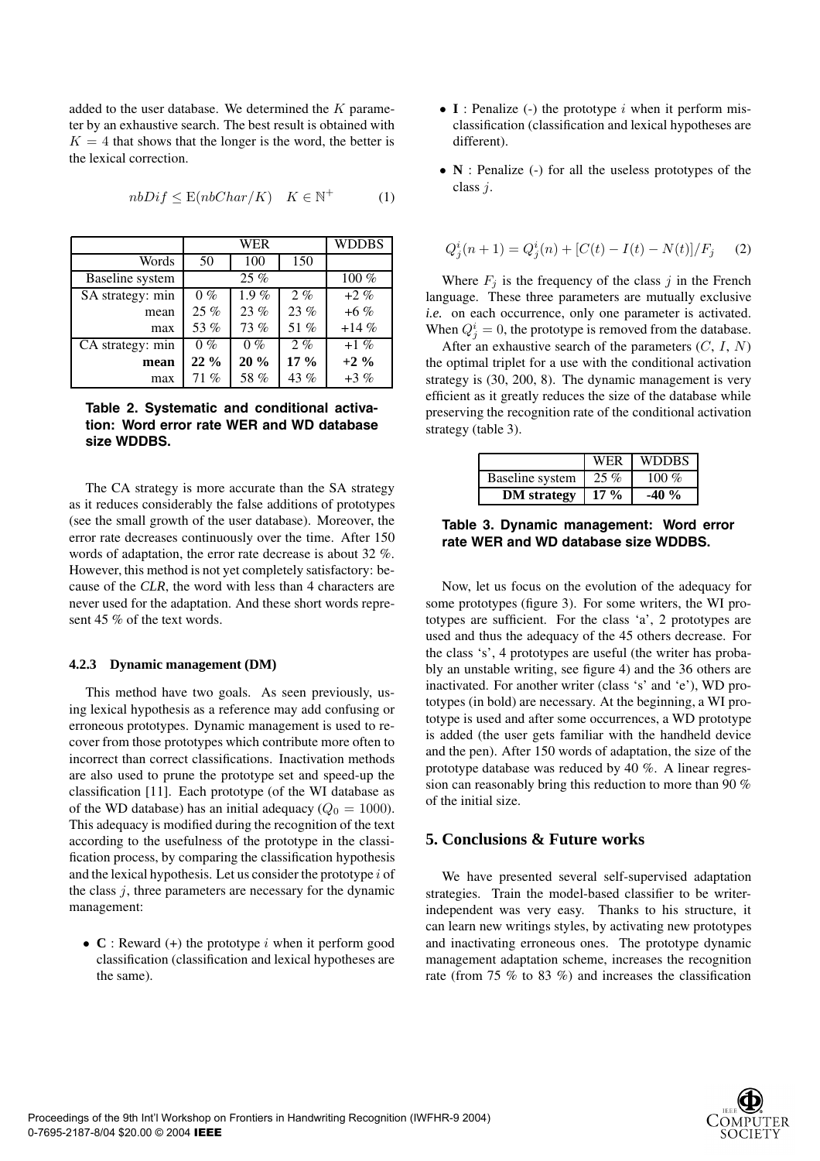added to the user database. We determined the *K* parameter by an exhaustive search. The best result is obtained with  $K = 4$  that shows that the longer is the word, the better is the lexical correction.

|                  | WER    |         |         | <b>WDDBS</b> |
|------------------|--------|---------|---------|--------------|
| Words            | 50     | 100     | 150     |              |
| Baseline system  |        | 25%     |         | $100\%$      |
| SA strategy: min | $0\%$  | $1.9\%$ | $2. \%$ | $+2\%$       |
| mean             | 25 %   | 23%     | 23%     | $+6\%$       |
| max              | 53 %   | 73 %    | 51 %    | $+14%$       |
| CA strategy: min | $0\%$  | $0\%$   | $2. \%$ | $+1\%$       |
| mean             | $22\%$ | 20%     | $17\%$  | $+2\%$       |
| max              | 71%    | 58 %    | 43 %    | $+3\%$       |

## $nbDiff \leq E(nbChar/K)$  *K*  $\in \mathbb{N}^+$  (1)

#### **Table 2. Systematic and conditional activation: Word error rate WER and WD database size WDDBS.**

The CA strategy is more accurate than the SA strategy as it reduces considerably the false additions of prototypes (see the small growth of the user database). Moreover, the error rate decreases continuously over the time. After 150 words of adaptation, the error rate decrease is about 32 %. However, this method is not yet completely satisfactory: because of the *CLR*, the word with less than 4 characters are never used for the adaptation. And these short words represent 45 % of the text words.

#### **4.2.3 Dynamic management (DM)**

This method have two goals. As seen previously, using lexical hypothesis as a reference may add confusing or erroneous prototypes. Dynamic management is used to recover from those prototypes which contribute more often to incorrect than correct classifications. Inactivation methods are also used to prune the prototype set and speed-up the classification [11]. Each prototype (of the WI database as of the WD database) has an initial adequacy ( $Q_0 = 1000$ ). This adequacy is modified during the recognition of the text according to the usefulness of the prototype in the classification process, by comparing the classification hypothesis and the lexical hypothesis. Let us consider the prototype *i* of the class *j*, three parameters are necessary for the dynamic management:

• **C** : Reward (+) the prototype *i* when it perform good classification (classification and lexical hypotheses are the same).

- **I** : Penalize (-) the prototype *i* when it perform misclassification (classification and lexical hypotheses are different).
- **N** : Penalize (-) for all the useless prototypes of the class *j*.

$$
Q_j^i(n+1) = Q_j^i(n) + [C(t) - I(t) - N(t)]/F_j \tag{2}
$$

Where  $F_j$  is the frequency of the class  $j$  in the French language. These three parameters are mutually exclusive *i.e.* on each occurrence, only one parameter is activated. When  $Q_j^i = 0$ , the prototype is removed from the database.

After an exhaustive search of the parameters (*C*, *I*, *N*) the optimal triplet for a use with the conditional activation strategy is (30, 200, 8). The dynamic management is very efficient as it greatly reduces the size of the database while preserving the recognition rate of the conditional activation strategy (table 3).

|                    | <b>WER</b> | <b>WDDBS</b> |
|--------------------|------------|--------------|
| Baseline system    | 25%        | 100 $%$      |
| <b>DM</b> strategy | $17\%$     | $-40%$       |

**Table 3. Dynamic management: Word error rate WER and WD database size WDDBS.**

Now, let us focus on the evolution of the adequacy for some prototypes (figure 3). For some writers, the WI prototypes are sufficient. For the class 'a', 2 prototypes are used and thus the adequacy of the 45 others decrease. For the class 's', 4 prototypes are useful (the writer has probably an unstable writing, see figure 4) and the 36 others are inactivated. For another writer (class 's' and 'e'), WD prototypes (in bold) are necessary. At the beginning, a WI prototype is used and after some occurrences, a WD prototype is added (the user gets familiar with the handheld device and the pen). After 150 words of adaptation, the size of the prototype database was reduced by 40 %. A linear regression can reasonably bring this reduction to more than 90 % of the initial size.

# **5. Conclusions & Future works**

We have presented several self-supervised adaptation strategies. Train the model-based classifier to be writerindependent was very easy. Thanks to his structure, it can learn new writings styles, by activating new prototypes and inactivating erroneous ones. The prototype dynamic management adaptation scheme, increases the recognition rate (from 75 % to 83 %) and increases the classification